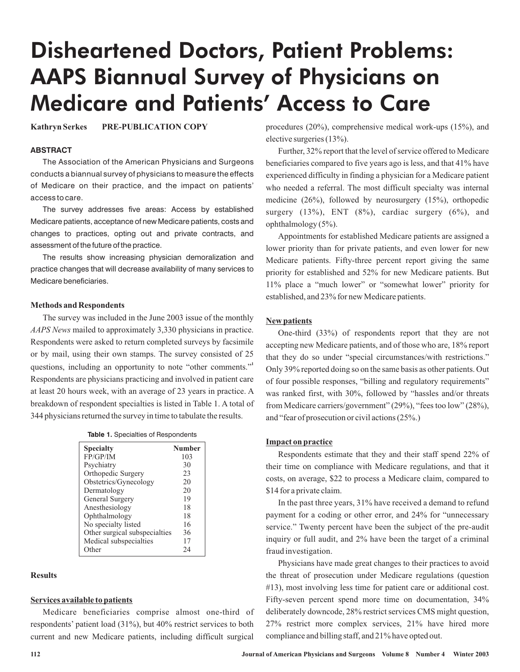# Disheartened Doctors, Patient Problems: AAPS Biannual Survey of Physicians on Medicare and Patients' Access to Care

**Kathryn Serkes PRE-PUBLICATION COPY**

## **ABSTRACT**

The Association of the American Physicians and Surgeons conducts a biannual survey of physicians to measure the effects of Medicare on their practice, and the impact on patients' accessto care.

The survey addresses five areas: Access by established Medicare patients, acceptance of new Medicare patients, costs and changes to practices, opting out and private contracts, and assessment of the future of the practice.

The results show increasing physician demoralization and practice changes that will decrease availability of many services to Medicare beneficiaries.

#### **Methods and Respondents**

The survey was included in the June 2003 issue of the monthly AAPS News mailed to approximately 3,330 physicians in practice. Respondents were asked to return completed surveys by facsimile or by mail, using their own stamps. The survey consisted of 25 questions, including an opportunity to note "other comments."<sup>1</sup> Respondents are physicians practicing and involved in patient care at least 20 hours week, with an average of 23 years in practice. A breakdown of respondent specialties is listed in Table 1. A total of 344 physicians returned the survey in time to tabulate the results.

|  |  | <b>Table 1.</b> Specialties of Respondents |
|--|--|--------------------------------------------|
|--|--|--------------------------------------------|

| <b>Specialty</b>              | <b>Number</b> |
|-------------------------------|---------------|
| FP/GP/IM                      | 103           |
| Psychiatry                    | 30            |
| Orthopedic Surgery            | 23            |
| Obstetrics/Gynecology         | 20            |
| Dermatology                   | 20            |
| General Surgery               | 19            |
| Anesthesiology                | 18            |
| Ophthalmology                 | 18            |
| No specialty listed           | 16            |
| Other surgical subspecialties | 36            |
| Medical subspecialties        | 17            |
| Other                         | ) Д           |

## **Results**

# **Services available to patients**

Medicare beneficiaries comprise almost one-third of respondents' patient load (31%), but 40% restrict services to both current and new Medicare patients, including difficult surgical procedures (20%), comprehensive medical work-ups (15%), and elective surgeries (13%).

Further, 32% report that the level of service offered to Medicare beneficiaries compared to five years ago is less, and that 41% have experienced difficulty in finding a physician for a Medicare patient who needed a referral. The most difficult specialty was internal medicine (26%), followed by neurosurgery (15%), orthopedic surgery  $(13\%)$ , ENT  $(8\%)$ , cardiac surgery  $(6\%)$ , and ophthalmology (5%).

Appointments for established Medicare patients are assigned a lower priority than for private patients, and even lower for new Medicare patients. Fifty-three percent report giving the same priority for established and 52% for new Medicare patients. But 11% place a "much lower" or "somewhat lower" priority for established, and 23% for new Medicare patients.

## **New patients**

One-third (33%) of respondents report that they are not accepting new Medicare patients, and of those who are, 18% report that they do so under "special circumstances/with restrictions." Only 39% reported doing so on the same basis as other patients. Out of four possible responses, "billing and regulatory requirements" was ranked first, with 30%, followed by "hassles and/or threats from Medicare carriers/government" (29%), "fees too low" (28%), and "fear of prosecution or civil actions (25%.)

# **Impact on practice**

Respondents estimate that they and their staff spend 22% of their time on compliance with Medicare regulations, and that it costs, on average, \$22 to process a Medicare claim, compared to \$14 for a private claim.

In the past three years, 31% have received a demand to refund payment for a coding or other error, and 24% for "unnecessary service." Twenty percent have been the subject of the pre-audit inquiry or full audit, and 2% have been the target of a criminal fraud investigation.

Physicians have made great changes to their practices to avoid the threat of prosecution under Medicare regulations (question #13), most involving less time for patient care or additional cost. Fifty-seven percent spend more time on documentation, 34% deliberately downcode, 28% restrict services CMS might question, 27% restrict more complex services, 21% have hired more compliance and billing staff, and 21% have opted out.